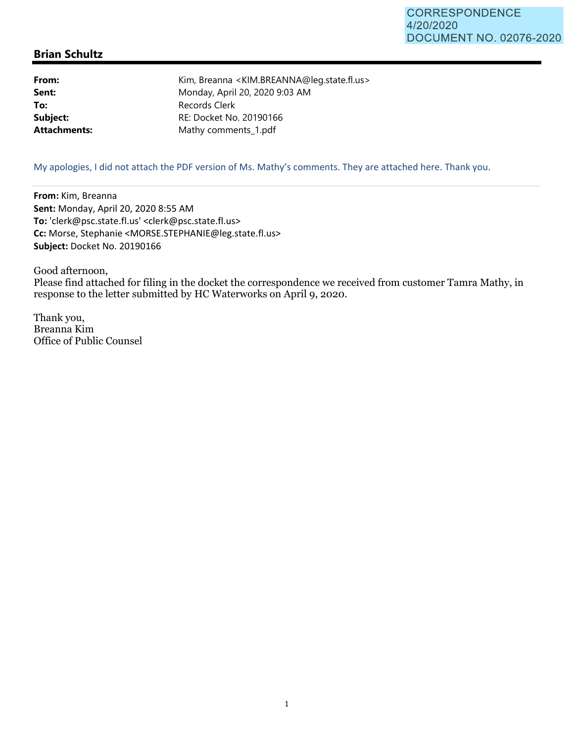## **Brian Schultz**

**From:** Kim, Breanna <KIM.BREANNA@leg.state.fl.us> **Sent:** Monday, April 20, 2020 9:03 AM To: Records Clerk **Subject:** RE: Docket No. 20190166 Attachments: Mathy comments\_1.pdf

My apologies, I did not attach the PDF version of Ms. Mathy's comments. They are attached here. Thank you.

**From:** Kim, Breanna **Sent:** Monday, April 20, 2020 8:55 AM **To:** 'clerk@psc.state.fl.us' <clerk@psc.state.fl.us> **Cc:** Morse, Stephanie <MORSE.STEPHANIE@leg.state.fl.us> **Subject:** Docket No. 20190166

Good afternoon, Please find attached for filing in the docket the correspondence we received from customer Tamra Mathy, in response to the letter submitted by HC Waterworks on April 9, 2020.

Thank you, Breanna Kim Office of Public Counsel